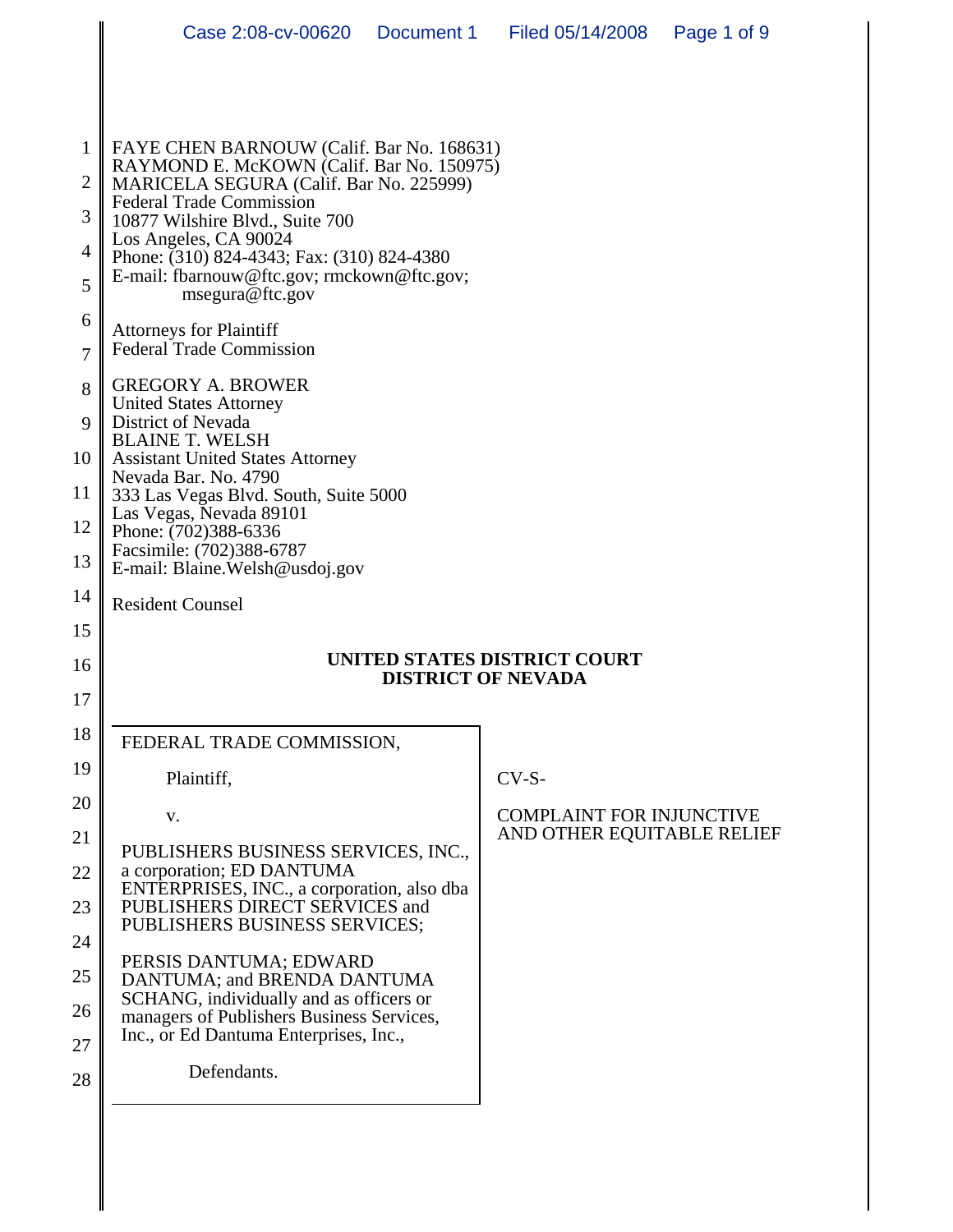| $\mathbf{1}$<br>$\overline{2}$ | FAYE CHEN BARNOUW (Calif. Bar No. 168631)<br>RAYMOND E. McKOWN (Calif. Bar No. 150975)<br>MARICELA SEGURA (Calif. Bar No. 225999) |                                 |
|--------------------------------|-----------------------------------------------------------------------------------------------------------------------------------|---------------------------------|
| 3                              | <b>Federal Trade Commission</b><br>10877 Wilshire Blvd., Suite 700                                                                |                                 |
| $\overline{4}$                 | Los Angeles, CA 90024                                                                                                             |                                 |
| 5                              | Phone: (310) 824-4343; Fax: (310) 824-4380<br>E-mail: fbarnouw@ftc.gov; rmckown@ftc.gov;                                          |                                 |
| 6                              | msegura@ftc.gov                                                                                                                   |                                 |
| $\overline{7}$                 | <b>Attorneys for Plaintiff</b><br><b>Federal Trade Commission</b>                                                                 |                                 |
| 8                              | <b>GREGORY A. BROWER</b><br><b>United States Attorney</b>                                                                         |                                 |
| 9                              | District of Nevada<br><b>BLAINE T. WELSH</b>                                                                                      |                                 |
| 10                             | <b>Assistant United States Attorney</b>                                                                                           |                                 |
| 11                             | Nevada Bar. No. 4790<br>333 Las Vegas Blvd. South, Suite 5000                                                                     |                                 |
| 12                             | Las Vegas, Nevada 89101<br>Phone: (702)388-6336                                                                                   |                                 |
| 13                             | Facsimile: (702)388-6787<br>E-mail: Blaine. Welsh@usdoj.gov                                                                       |                                 |
| 14                             | <b>Resident Counsel</b>                                                                                                           |                                 |
| 15                             |                                                                                                                                   |                                 |
| 16                             | UNITED STATES DISTRICT COURT<br><b>DISTRICT OF NEVADA</b>                                                                         |                                 |
| 17                             |                                                                                                                                   |                                 |
|                                |                                                                                                                                   |                                 |
| 18                             | FEDERAL TRADE COMMISSION,                                                                                                         |                                 |
| 19                             | Plaintiff,                                                                                                                        | $CV-S-$                         |
| 20                             | v.                                                                                                                                | <b>COMPLAINT FOR INJUNCTIVE</b> |
| 21                             | PUBLISHERS BUSINESS SERVICES, INC.,                                                                                               | AND OTHER EQUITABLE RELIEF      |
| 22                             | a corporation; ED DANTUMA                                                                                                         |                                 |
| 23                             | ENTERPRISES, INC., a corporation, also dba<br>PUBLISHERS DIRECT SERVICES and                                                      |                                 |
| 24                             | PUBLISHERS BUSINESS SERVICES;                                                                                                     |                                 |
| 25                             | PERSIS DANTUMA; EDWARD<br>DANTUMA; and BRENDA DANTUMA                                                                             |                                 |
| 26                             | SCHANG, individually and as officers or<br>managers of Publishers Business Services,                                              |                                 |
| 27<br>28                       | Inc., or Ed Dantuma Enterprises, Inc.,<br>Defendants.                                                                             |                                 |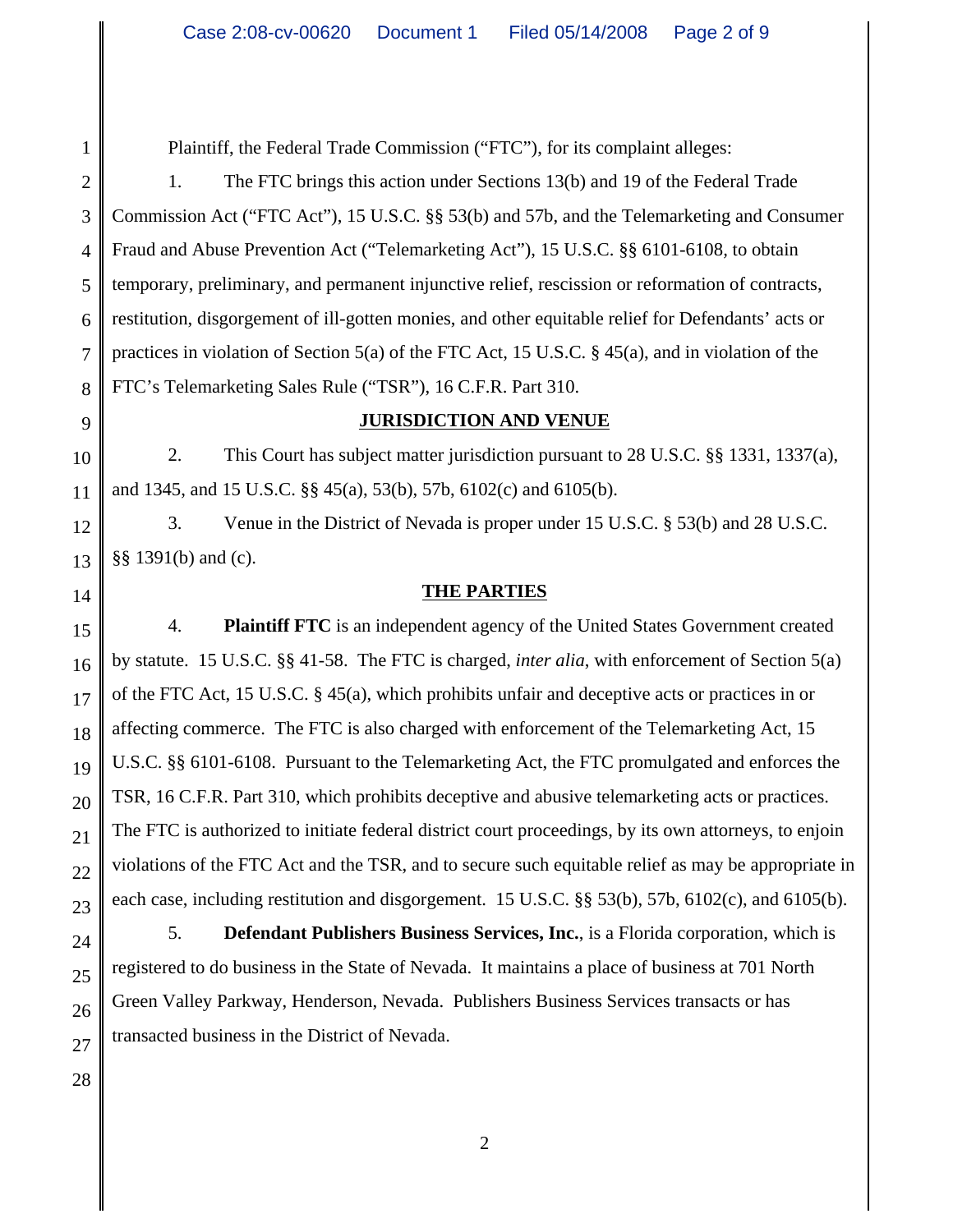1 2 3 4 5 6 7 8 9 10 11 12 13 14 15 16 17 18 19 20 21 22 23 24 25 26 27 28 Plaintiff, the Federal Trade Commission ("FTC"), for its complaint alleges: 1. The FTC brings this action under Sections 13(b) and 19 of the Federal Trade Commission Act ("FTC Act"), 15 U.S.C. §§ 53(b) and 57b, and the Telemarketing and Consumer Fraud and Abuse Prevention Act ("Telemarketing Act"), 15 U.S.C. §§ 6101-6108*,* to obtain temporary, preliminary, and permanent injunctive relief, rescission or reformation of contracts, restitution, disgorgement of ill-gotten monies, and other equitable relief for Defendants' acts or practices in violation of Section 5(a) of the FTC Act, 15 U.S.C. § 45(a), and in violation of the FTC's Telemarketing Sales Rule ("TSR"), 16 C.F.R. Part 310. **JURISDICTION AND VENUE** 2. This Court has subject matter jurisdiction pursuant to 28 U.S.C. §§ 1331, 1337(a), and 1345, and 15 U.S.C. §§ 45(a), 53(b), 57b, 6102(c) and 6105(b). 3. Venue in the District of Nevada is proper under 15 U.S.C. § 53(b) and 28 U.S.C. §§ 1391(b) and (c). **THE PARTIES** 4. **Plaintiff FTC** is an independent agency of the United States Government created by statute. 15 U.S.C. §§ 41-58. The FTC is charged, *inter alia*, with enforcement of Section 5(a) of the FTC Act, 15 U.S.C. § 45(a), which prohibits unfair and deceptive acts or practices in or affecting commerce. The FTC is also charged with enforcement of the Telemarketing Act, 15 U.S.C. §§ 6101-6108. Pursuant to the Telemarketing Act, the FTC promulgated and enforces the TSR, 16 C.F.R. Part 310, which prohibits deceptive and abusive telemarketing acts or practices. The FTC is authorized to initiate federal district court proceedings, by its own attorneys, to enjoin violations of the FTC Act and the TSR, and to secure such equitable relief as may be appropriate in each case, including restitution and disgorgement. 15 U.S.C. §§ 53(b), 57b, 6102(c), and 6105(b). 5. **Defendant Publishers Business Services, Inc.**, is a Florida corporation, which is registered to do business in the State of Nevada. It maintains a place of business at 701 North Green Valley Parkway, Henderson, Nevada. Publishers Business Services transacts or has transacted business in the District of Nevada.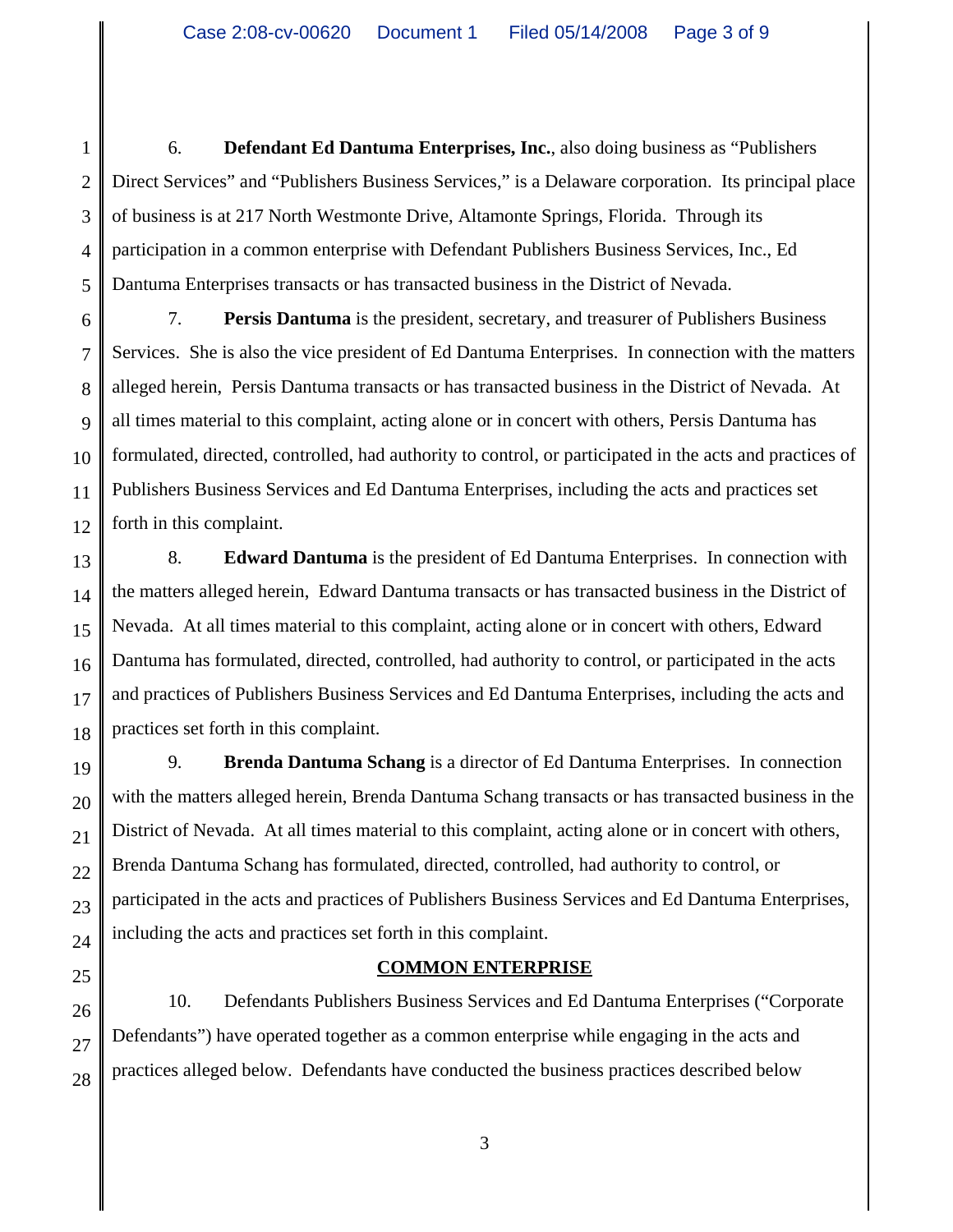1 2 3 4 5 6. **Defendant Ed Dantuma Enterprises, Inc.**, also doing business as "Publishers Direct Services" and "Publishers Business Services," is a Delaware corporation. Its principal place of business is at 217 North Westmonte Drive, Altamonte Springs, Florida. Through its participation in a common enterprise with Defendant Publishers Business Services, Inc., Ed Dantuma Enterprises transacts or has transacted business in the District of Nevada.

6 7 8 9 10 11 12 7. **Persis Dantuma** is the president, secretary, and treasurer of Publishers Business Services. She is also the vice president of Ed Dantuma Enterprises. In connection with the matters alleged herein, Persis Dantuma transacts or has transacted business in the District of Nevada. At all times material to this complaint, acting alone or in concert with others, Persis Dantuma has formulated, directed, controlled, had authority to control, or participated in the acts and practices of Publishers Business Services and Ed Dantuma Enterprises, including the acts and practices set forth in this complaint.

13 14 15 16 17 18 8. **Edward Dantuma** is the president of Ed Dantuma Enterprises. In connection with the matters alleged herein, Edward Dantuma transacts or has transacted business in the District of Nevada. At all times material to this complaint, acting alone or in concert with others, Edward Dantuma has formulated, directed, controlled, had authority to control, or participated in the acts and practices of Publishers Business Services and Ed Dantuma Enterprises, including the acts and practices set forth in this complaint.

19 20 21 22 23 24 9. **Brenda Dantuma Schang** is a director of Ed Dantuma Enterprises. In connection with the matters alleged herein, Brenda Dantuma Schang transacts or has transacted business in the District of Nevada. At all times material to this complaint, acting alone or in concert with others, Brenda Dantuma Schang has formulated, directed, controlled, had authority to control, or participated in the acts and practices of Publishers Business Services and Ed Dantuma Enterprises, including the acts and practices set forth in this complaint.

25

### **COMMON ENTERPRISE**

26 27 28 10. Defendants Publishers Business Services and Ed Dantuma Enterprises ("Corporate Defendants") have operated together as a common enterprise while engaging in the acts and practices alleged below. Defendants have conducted the business practices described below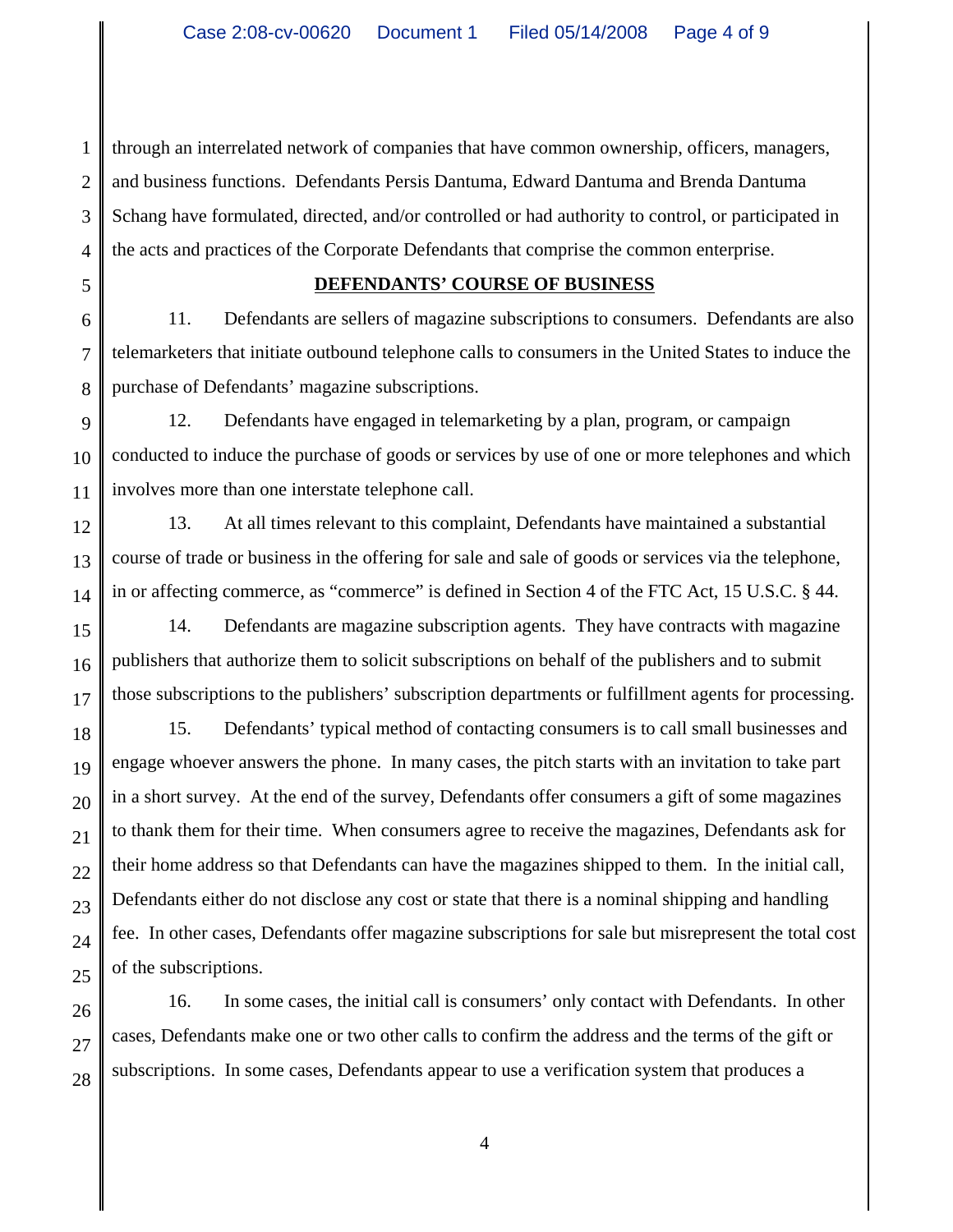1 2 3 4 through an interrelated network of companies that have common ownership, officers, managers, and business functions. Defendants Persis Dantuma, Edward Dantuma and Brenda Dantuma Schang have formulated, directed, and/or controlled or had authority to control, or participated in the acts and practices of the Corporate Defendants that comprise the common enterprise.

5

#### **DEFENDANTS' COURSE OF BUSINESS**

6 7 8 11. Defendants are sellers of magazine subscriptions to consumers. Defendants are also telemarketers that initiate outbound telephone calls to consumers in the United States to induce the purchase of Defendants' magazine subscriptions.

9 10 11 12. Defendants have engaged in telemarketing by a plan, program, or campaign conducted to induce the purchase of goods or services by use of one or more telephones and which involves more than one interstate telephone call.

12 13 14 13. At all times relevant to this complaint, Defendants have maintained a substantial course of trade or business in the offering for sale and sale of goods or services via the telephone, in or affecting commerce, as "commerce" is defined in Section 4 of the FTC Act, 15 U.S.C. § 44.

15 16 17 14. Defendants are magazine subscription agents. They have contracts with magazine publishers that authorize them to solicit subscriptions on behalf of the publishers and to submit those subscriptions to the publishers' subscription departments or fulfillment agents for processing.

18 19 20 21 22 23 24 25 15. Defendants' typical method of contacting consumers is to call small businesses and engage whoever answers the phone. In many cases, the pitch starts with an invitation to take part in a short survey. At the end of the survey, Defendants offer consumers a gift of some magazines to thank them for their time. When consumers agree to receive the magazines, Defendants ask for their home address so that Defendants can have the magazines shipped to them. In the initial call, Defendants either do not disclose any cost or state that there is a nominal shipping and handling fee. In other cases, Defendants offer magazine subscriptions for sale but misrepresent the total cost of the subscriptions.

26 27 28 16. In some cases, the initial call is consumers' only contact with Defendants. In other cases, Defendants make one or two other calls to confirm the address and the terms of the gift or subscriptions. In some cases, Defendants appear to use a verification system that produces a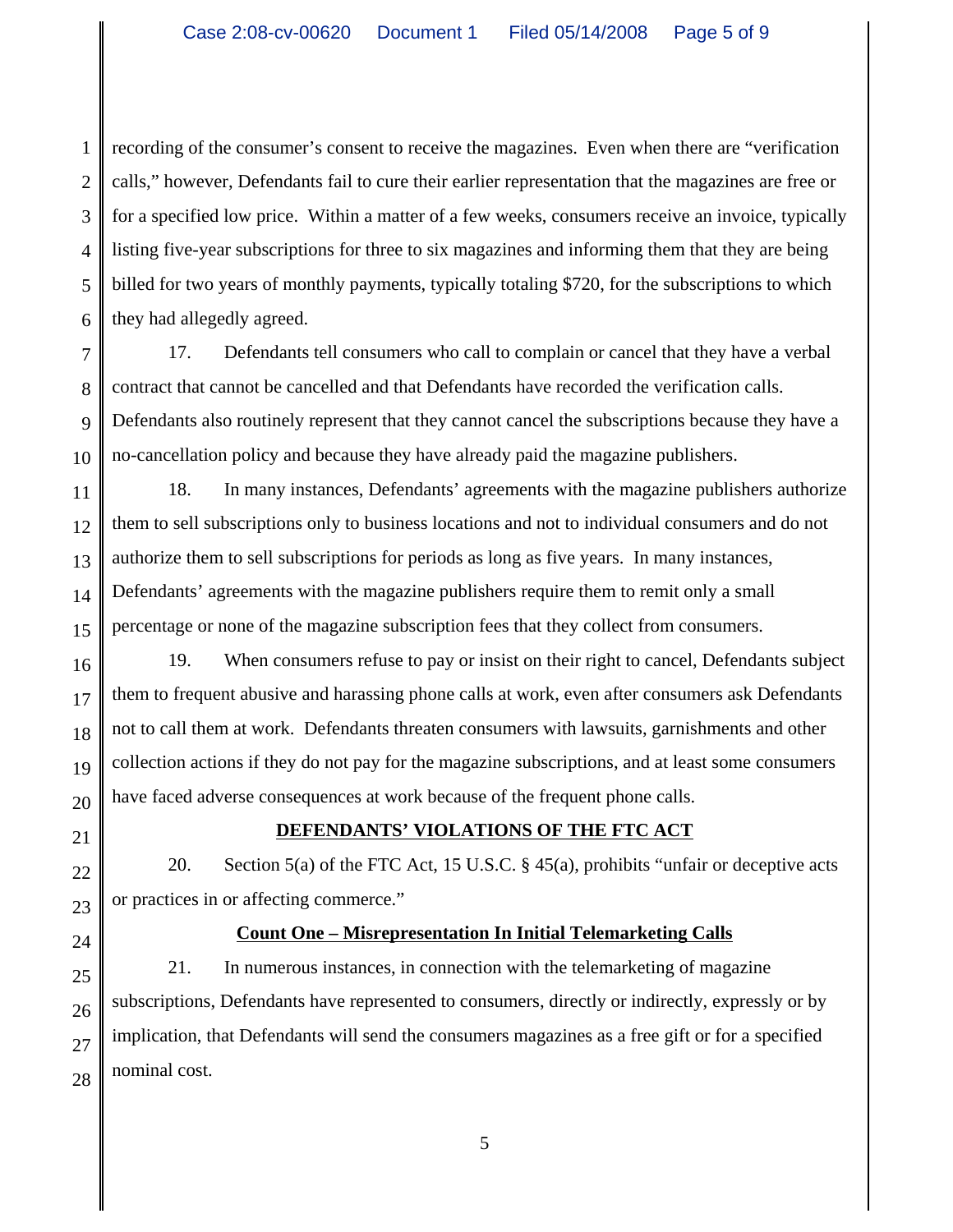1 2 3 4 5 6 recording of the consumer's consent to receive the magazines. Even when there are "verification calls," however, Defendants fail to cure their earlier representation that the magazines are free or for a specified low price. Within a matter of a few weeks, consumers receive an invoice, typically listing five-year subscriptions for three to six magazines and informing them that they are being billed for two years of monthly payments, typically totaling \$720, for the subscriptions to which they had allegedly agreed.

7 8 9 10 17. Defendants tell consumers who call to complain or cancel that they have a verbal contract that cannot be cancelled and that Defendants have recorded the verification calls. Defendants also routinely represent that they cannot cancel the subscriptions because they have a no-cancellation policy and because they have already paid the magazine publishers.

11 12 13 14 15 18. In many instances, Defendants' agreements with the magazine publishers authorize them to sell subscriptions only to business locations and not to individual consumers and do not authorize them to sell subscriptions for periods as long as five years. In many instances, Defendants' agreements with the magazine publishers require them to remit only a small percentage or none of the magazine subscription fees that they collect from consumers.

16 17 18 19 20 19. When consumers refuse to pay or insist on their right to cancel, Defendants subject them to frequent abusive and harassing phone calls at work, even after consumers ask Defendants not to call them at work. Defendants threaten consumers with lawsuits, garnishments and other collection actions if they do not pay for the magazine subscriptions, and at least some consumers have faced adverse consequences at work because of the frequent phone calls.

21

22

# **DEFENDANTS' VIOLATIONS OF THE FTC ACT**

20. Section 5(a) of the FTC Act, 15 U.S.C.  $\S$  45(a), prohibits "unfair or deceptive acts or practices in or affecting commerce."

23 24

# **Count One – Misrepresentation In Initial Telemarketing Calls**

25 26 27 28 21. In numerous instances, in connection with the telemarketing of magazine subscriptions, Defendants have represented to consumers, directly or indirectly, expressly or by implication, that Defendants will send the consumers magazines as a free gift or for a specified nominal cost.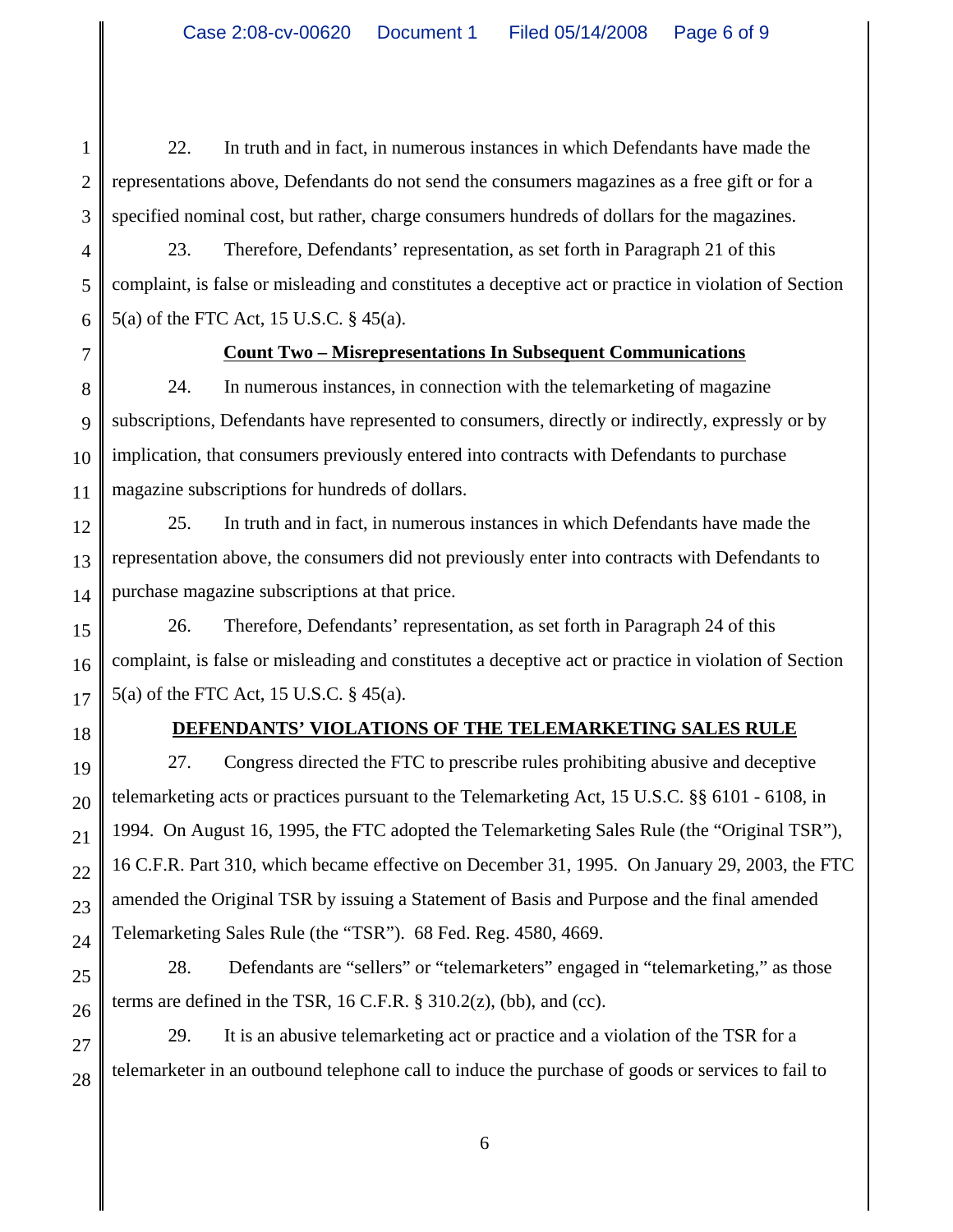1 2 3 22. In truth and in fact, in numerous instances in which Defendants have made the representations above, Defendants do not send the consumers magazines as a free gift or for a specified nominal cost, but rather, charge consumers hundreds of dollars for the magazines.

4 5

23. Therefore, Defendants' representation, as set forth in Paragraph 21 of this complaint, is false or misleading and constitutes a deceptive act or practice in violation of Section 5(a) of the FTC Act, 15 U.S.C. § 45(a).

7

6

#### **Count Two – Misrepresentations In Subsequent Communications**

8 9 10 11 24. In numerous instances, in connection with the telemarketing of magazine subscriptions, Defendants have represented to consumers, directly or indirectly, expressly or by implication, that consumers previously entered into contracts with Defendants to purchase magazine subscriptions for hundreds of dollars.

12 13 14 25. In truth and in fact, in numerous instances in which Defendants have made the representation above, the consumers did not previously enter into contracts with Defendants to purchase magazine subscriptions at that price.

15 16 17 26. Therefore, Defendants' representation, as set forth in Paragraph 24 of this complaint, is false or misleading and constitutes a deceptive act or practice in violation of Section 5(a) of the FTC Act, 15 U.S.C. § 45(a).

18

27

28

# **DEFENDANTS' VIOLATIONS OF THE TELEMARKETING SALES RULE**

19 20 21 22 23 24 27. Congress directed the FTC to prescribe rules prohibiting abusive and deceptive telemarketing acts or practices pursuant to the Telemarketing Act, 15 U.S.C. §§ 6101 - 6108, in 1994. On August 16, 1995, the FTC adopted the Telemarketing Sales Rule (the "Original TSR"), 16 C.F.R. Part 310, which became effective on December 31, 1995. On January 29, 2003, the FTC amended the Original TSR by issuing a Statement of Basis and Purpose and the final amended Telemarketing Sales Rule (the "TSR"). 68 Fed. Reg. 4580, 4669.

25 26 28. Defendants are "sellers" or "telemarketers" engaged in "telemarketing," as those terms are defined in the TSR,  $16$  C.F.R. §  $310.2(z)$ , (bb), and (cc).

29. It is an abusive telemarketing act or practice and a violation of the TSR for a telemarketer in an outbound telephone call to induce the purchase of goods or services to fail to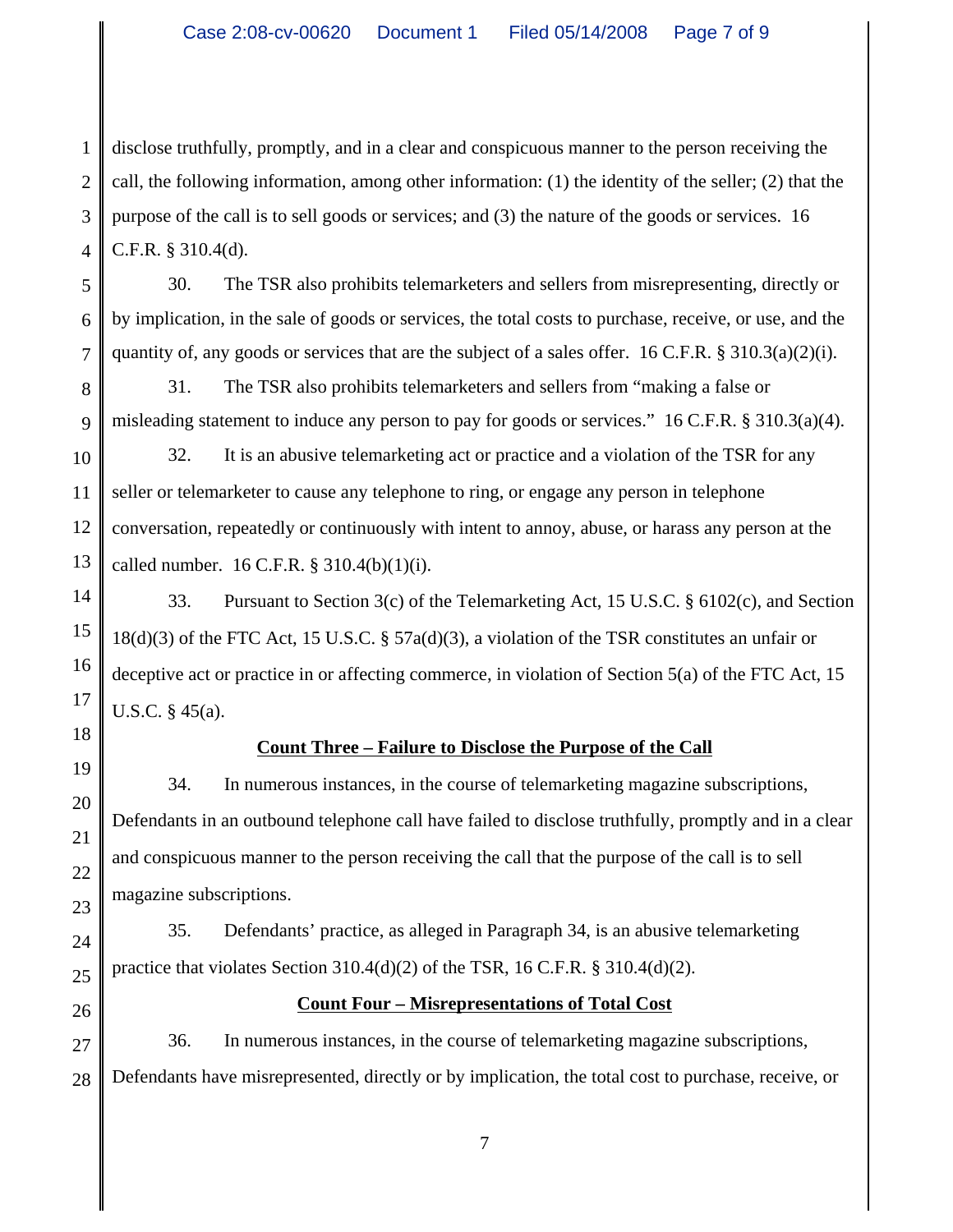1 2 3 4 disclose truthfully, promptly, and in a clear and conspicuous manner to the person receiving the call, the following information, among other information: (1) the identity of the seller; (2) that the purpose of the call is to sell goods or services; and (3) the nature of the goods or services. 16 C.F.R. § 310.4(d).

5 6 7 30. The TSR also prohibits telemarketers and sellers from misrepresenting, directly or by implication, in the sale of goods or services, the total costs to purchase, receive, or use, and the quantity of, any goods or services that are the subject of a sales offer. 16 C.F.R. § 310.3(a)(2)(i).

8 9 31. The TSR also prohibits telemarketers and sellers from "making a false or misleading statement to induce any person to pay for goods or services." 16 C.F.R. § 310.3(a)(4).

10 11 12 13 32. It is an abusive telemarketing act or practice and a violation of the TSR for any seller or telemarketer to cause any telephone to ring, or engage any person in telephone conversation, repeatedly or continuously with intent to annoy, abuse, or harass any person at the called number. 16 C.F.R. § 310.4(b)(1)(i).

14 15 16 17 33. Pursuant to Section 3(c) of the Telemarketing Act, 15 U.S.C. § 6102(c), and Section 18(d)(3) of the FTC Act, 15 U.S.C. § 57a(d)(3), a violation of the TSR constitutes an unfair or deceptive act or practice in or affecting commerce, in violation of Section 5(a) of the FTC Act, 15 U.S.C. § 45(a).

18

19

20

21

22

23

24

# **Count Three – Failure to Disclose the Purpose of the Call**

34. In numerous instances, in the course of telemarketing magazine subscriptions, Defendants in an outbound telephone call have failed to disclose truthfully, promptly and in a clear and conspicuous manner to the person receiving the call that the purpose of the call is to sell magazine subscriptions.

25 35. Defendants' practice, as alleged in Paragraph 34, is an abusive telemarketing practice that violates Section  $310.4(d)(2)$  of the TSR, 16 C.F.R. §  $310.4(d)(2)$ .

26

# **Count Four – Misrepresentations of Total Cost**

27 28 36. In numerous instances, in the course of telemarketing magazine subscriptions, Defendants have misrepresented, directly or by implication, the total cost to purchase, receive, or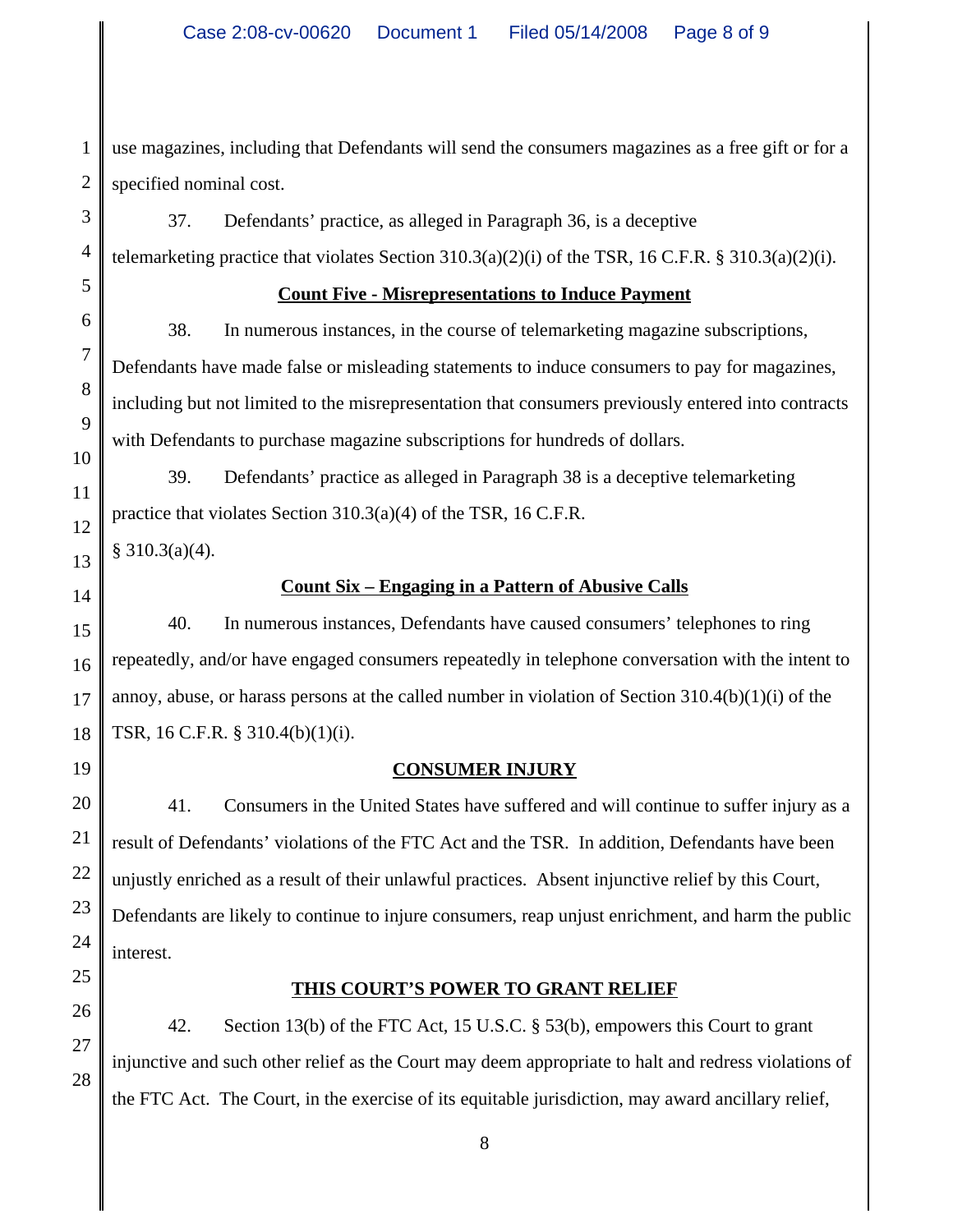1 2 use magazines, including that Defendants will send the consumers magazines as a free gift or for a specified nominal cost.

37. Defendants' practice, as alleged in Paragraph 36, is a deceptive

telemarketing practice that violates Section  $310.3(a)(2)(i)$  of the TSR, 16 C.F.R. §  $310.3(a)(2)(i)$ .

#### **Count Five - Misrepresentations to Induce Payment**

38. In numerous instances, in the course of telemarketing magazine subscriptions, Defendants have made false or misleading statements to induce consumers to pay for magazines, including but not limited to the misrepresentation that consumers previously entered into contracts with Defendants to purchase magazine subscriptions for hundreds of dollars.

39. Defendants' practice as alleged in Paragraph 38 is a deceptive telemarketing practice that violates Section 310.3(a)(4) of the TSR, 16 C.F.R.

 $§ 310.3(a)(4).$ 

13 14

3

4

5

6

7

8

9

10

11

12

# **Count Six – Engaging in a Pattern of Abusive Calls**

15 16 17 18 40. In numerous instances, Defendants have caused consumers' telephones to ring repeatedly, and/or have engaged consumers repeatedly in telephone conversation with the intent to annoy, abuse, or harass persons at the called number in violation of Section 310.4(b)(1)(i) of the TSR, 16 C.F.R. § 310.4(b)(1)(i).

19

21

22

23

24

# **CONSUMER INJURY**

20 41. Consumers in the United States have suffered and will continue to suffer injury as a result of Defendants' violations of the FTC Act and the TSR. In addition, Defendants have been unjustly enriched as a result of their unlawful practices. Absent injunctive relief by this Court, Defendants are likely to continue to injure consumers, reap unjust enrichment, and harm the public interest.

25 26

27

28

#### **THIS COURT'S POWER TO GRANT RELIEF**

42. Section 13(b) of the FTC Act, 15 U.S.C. § 53(b), empowers this Court to grant injunctive and such other relief as the Court may deem appropriate to halt and redress violations of the FTC Act. The Court, in the exercise of its equitable jurisdiction, may award ancillary relief,